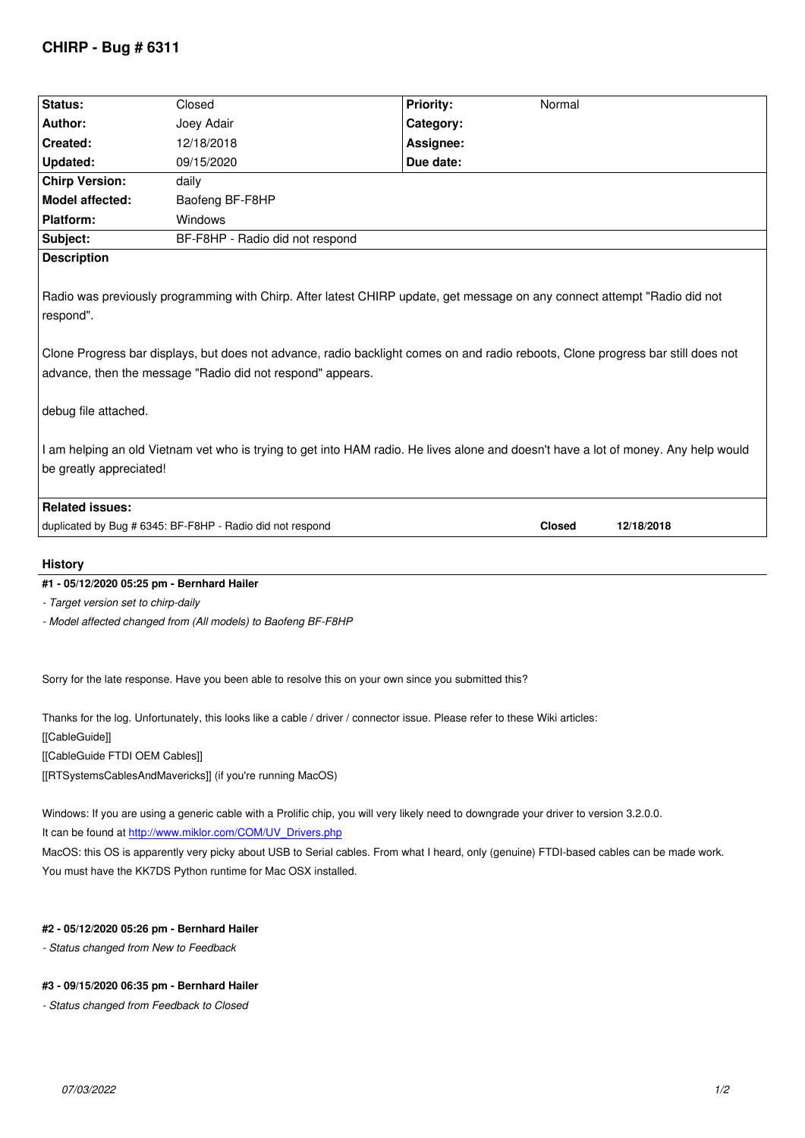| Status:                                                                                                                                                                                                                                                                                                                                                                                                                                                                                                                            | Closed                          | Normal<br><b>Priority:</b> |
|------------------------------------------------------------------------------------------------------------------------------------------------------------------------------------------------------------------------------------------------------------------------------------------------------------------------------------------------------------------------------------------------------------------------------------------------------------------------------------------------------------------------------------|---------------------------------|----------------------------|
| Author:                                                                                                                                                                                                                                                                                                                                                                                                                                                                                                                            | Joey Adair                      | Category:                  |
| Created:                                                                                                                                                                                                                                                                                                                                                                                                                                                                                                                           | 12/18/2018                      | Assignee:                  |
| <b>Updated:</b>                                                                                                                                                                                                                                                                                                                                                                                                                                                                                                                    | 09/15/2020                      | Due date:                  |
| <b>Chirp Version:</b>                                                                                                                                                                                                                                                                                                                                                                                                                                                                                                              | daily                           |                            |
| Model affected:                                                                                                                                                                                                                                                                                                                                                                                                                                                                                                                    | Baofeng BF-F8HP                 |                            |
| <b>Platform:</b>                                                                                                                                                                                                                                                                                                                                                                                                                                                                                                                   | <b>Windows</b>                  |                            |
| Subject:                                                                                                                                                                                                                                                                                                                                                                                                                                                                                                                           | BF-F8HP - Radio did not respond |                            |
| <b>Description</b>                                                                                                                                                                                                                                                                                                                                                                                                                                                                                                                 |                                 |                            |
| Radio was previously programming with Chirp. After latest CHIRP update, get message on any connect attempt "Radio did not<br>respond".<br>Clone Progress bar displays, but does not advance, radio backlight comes on and radio reboots, Clone progress bar still does not<br>advance, then the message "Radio did not respond" appears.<br>debug file attached.<br>I am helping an old Vietnam vet who is trying to get into HAM radio. He lives alone and doesn't have a lot of money. Any help would<br>be greatly appreciated! |                                 |                            |
| <b>Related issues:</b><br>Closed<br>12/18/2018                                                                                                                                                                                                                                                                                                                                                                                                                                                                                     |                                 |                            |
| duplicated by Bug # 6345: BF-F8HP - Radio did not respond                                                                                                                                                                                                                                                                                                                                                                                                                                                                          |                                 |                            |
| <b>History</b>                                                                                                                                                                                                                                                                                                                                                                                                                                                                                                                     |                                 |                            |
| #1 - 05/12/2020 05:25 pm - Bernhard Hailer                                                                                                                                                                                                                                                                                                                                                                                                                                                                                         |                                 |                            |
| - Target version set to chirp-daily                                                                                                                                                                                                                                                                                                                                                                                                                                                                                                |                                 |                            |
| - Model affected changed from (All models) to Baofeng BF-F8HP                                                                                                                                                                                                                                                                                                                                                                                                                                                                      |                                 |                            |

*Sorry for the late response. Have you been able to resolve this on your own since you submitted this?*

*Thanks for the log. Unfortunately, this looks like a cable / driver / connector issue. Please refer to these Wiki articles:*

*[[CableGuide]]*

*[[CableGuide FTDI OEM Cables]]*

*[[RTSystemsCablesAndMavericks]] (if you're running MacOS)*

*Windows: If you are using a generic cable with a Prolific chip, you will very likely need to downgrade your driver to version 3.2.0.0.*

*It can be found at http://www.miklor.com/COM/UV\_Drivers.php*

*MacOS: this OS is apparently very picky about USB to Serial cables. From what I heard, only (genuine) FTDI-based cables can be made work. You must have the KK7DS Python runtime for Mac OSX installed.*

## **#2 - 05/12/2020 05:26 pm - Bernhard Hailer**

*- Status changed from New to Feedback*

## **#3 - 09/15/2020 06:35 pm - Bernhard Hailer**

*- Status changed from Feedback to Closed*